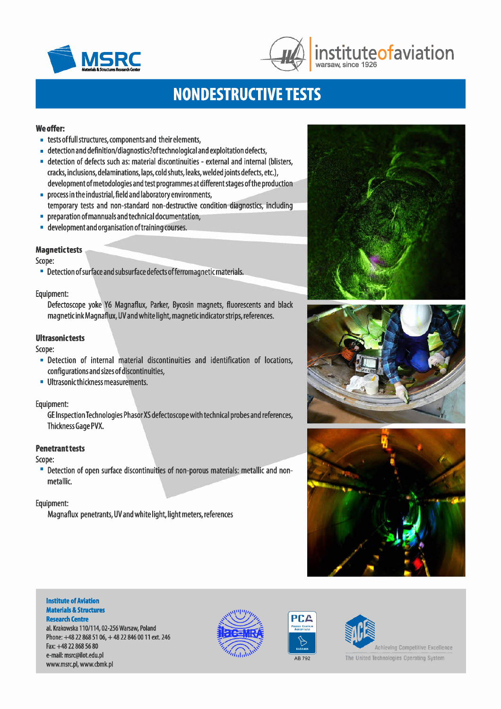



# **MSRC**  $\frac{1}{\sqrt{2}}$  institute of aviation

# **NONDESTRUCTIVE TESTS**

### Weoffer:

- tests offull structures, components and their elements,
- detection and definition/diagnostics?oftechnological and exploitation defects,
- detection of defects such as: material discontinuities external and internal (blisters, cracks, inclusions, delaminations,laps, cold shuts, leaks, welded joints defects, etc.), development ofmetodologies and test programmes at different stages ofthe production
- process in the industrial, field and laboratory environments, temporary tests and non-standard non-destructive condition diagnostics, including
- preparation ofmannualsandtechnical documentation,
- **development and organisation of training courses.**

### **Magnetictests**

Scope:

**• Detection of surface and subsurface defects of ferromagnetic materials.** 

### Equipment:

Defectoscope yoke Y6 Magnaflux, Parker, Bycosin magnets, fluorescents and black magnetic ink Magnaflux, UVand white light, magnetic indicator strips, references.

### Ultrasonictests

Scope:

- Detection of internal material discontinuities and identification of locations, configurations and sizes of discontinuities,
- **•** Ultrasonic thickness measurements.

### Equipment:

GE Inspection Technologies Phasor XS defectoscope with technical probes and references, Thickness Gage PVX.

### Penetrant tests

Scope:

• Detection of open surface discontinuities of non-porous materials: metallic and nonmetallic.

### Equipment:

Magnaflux penetrants, UVand white light, light meters, references







#### Institute of Aviation Materials & Structures **Research Centre**

al. Krakowska 110/114,02-256 Warsaw, Poland Phone: +48 22 868 51 06, +48 22 846 00 11 ext. 246 Fax:+48 22 868 56 80 e-mail: [msrc@ilot.edu.pl](mailto:msrc@ilot.edu.pl) [www.msrc.pl,](http://www.msrc.pl,) [www.cbmk.pl](http://www.cbmk.pl)